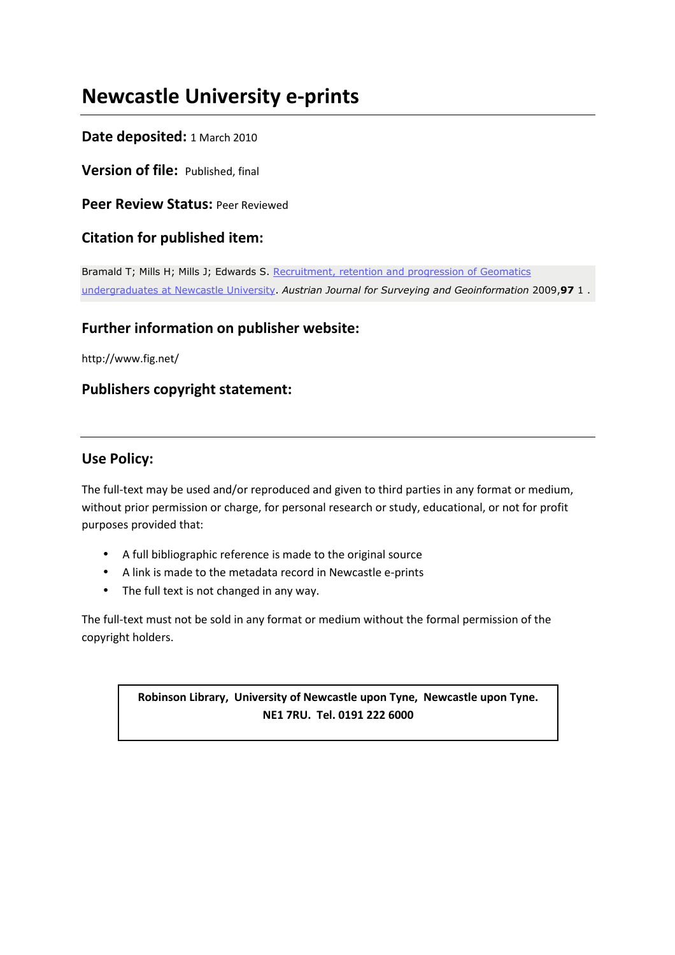# **Newcastle University e-prints**

### **Date deposited:** 1 March 2010

**Version of file:** Published, final

**Peer Review Status:** Peer Reviewed

### **Citation for published item:**

Bramald T; Mills H; Mills J; Edwards S. Recruitment, retention and progression of Geomatics undergraduates at Newcastle University. *Austrian Journal for Surveying and Geoinformation* 2009,**97** 1 .

## **Further information on publisher website:**

http://www.fig.net/

## **Publishers copyright statement:**

### **Use Policy:**

The full-text may be used and/or reproduced and given to third parties in any format or medium, without prior permission or charge, for personal research or study, educational, or not for profit purposes provided that:

- A full bibliographic reference is made to the original source
- A link is made to the metadata record in Newcastle e-prints
- The full text is not changed in any way.

The full-text must not be sold in any format or medium without the formal permission of the copyright holders.

> **Robinson Library, University of Newcastle upon Tyne, Newcastle upon Tyne. NE1 7RU. Tel. 0191 222 6000**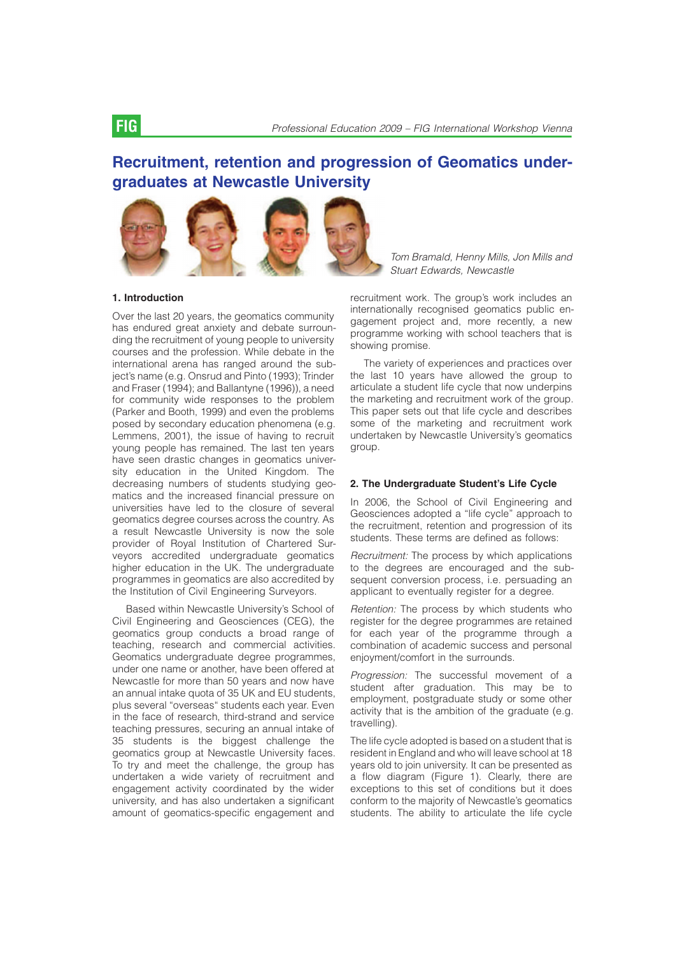# Recruitment, retention and progression of Geomatics undergraduates at Newcastle University



*Tom Bramald, Henny Mills, Jon Mills and Stuart Edwards, Newcastle*

Over the last 20 years, the geomatics community

has endured great anxiety and debate surrounding the recruitment of young people to university courses and the profession. While debate in the international arena has ranged around the subject's name (e.g. Onsrud and Pinto (1993); Trinder and Fraser (1994); and Ballantyne (1996)), a need for community wide responses to the problem (Parker and Booth, 1999) and even the problems posed by secondary education phenomena (e.g. Lemmens, 2001), the issue of having to recruit young people has remained. The last ten years have seen drastic changes in geomatics university education in the United Kingdom. The decreasing numbers of students studying geomatics and the increased financial pressure on universities have led to the closure of several geomatics degree courses across the country. As a result Newcastle University is now the sole provider of Royal Institution of Chartered Surveyors accredited undergraduate geomatics higher education in the UK. The undergraduate programmes in geomatics are also accredited by the Institution of Civil Engineering Surveyors.

Based within Newcastle University's School of Civil Engineering and Geosciences (CEG), the geomatics group conducts a broad range of teaching, research and commercial activities. Geomatics undergraduate degree programmes, under one name or another, have been offered at Newcastle for more than 50 years and now have an annual intake quota of 35 UK and EU students, plus several "overseas" students each year. Even in the face of research, third-strand and service teaching pressures, securing an annual intake of 35 students is the biggest challenge the geomatics group at Newcastle University faces. To try and meet the challenge, the group has undertaken a wide variety of recruitment and engagement activity coordinated by the wider university, and has also undertaken a significant amount of geomatics-specific engagement and

recruitment work. The group's work includes an internationally recognised geomatics public engagement project and, more recently, a new programme working with school teachers that is showing promise.

The variety of experiences and practices over the last 10 years have allowed the group to articulate a student life cycle that now underpins the marketing and recruitment work of the group. This paper sets out that life cycle and describes some of the marketing and recruitment work undertaken by Newcastle University's geomatics group.

### 2. The Undergraduate Student's Life Cycle

In 2006, the School of Civil Engineering and Geosciences adopted a "life cycle'' approach to the recruitment, retention and progression of its students. These terms are defined as follows:

*Recruitment:* The process by which applications to the degrees are encouraged and the subsequent conversion process, i.e. persuading an applicant to eventually register for a degree.

*Retention:* The process by which students who register for the degree programmes are retained for each year of the programme through a combination of academic success and personal enjoyment/comfort in the surrounds.

*Progression:* The successful movement of a student after graduation. This may be to employment, postgraduate study or some other activity that is the ambition of the graduate (e.g. travelling).

The life cycle adopted is based on a student that is resident in England and who will leave school at 18 years old to join university. It can be presented as a flow diagram (Figure 1). Clearly, there are exceptions to this set of conditions but it does conform to the majority of Newcastle's geomatics students. The ability to articulate the life cycle

1. Introduction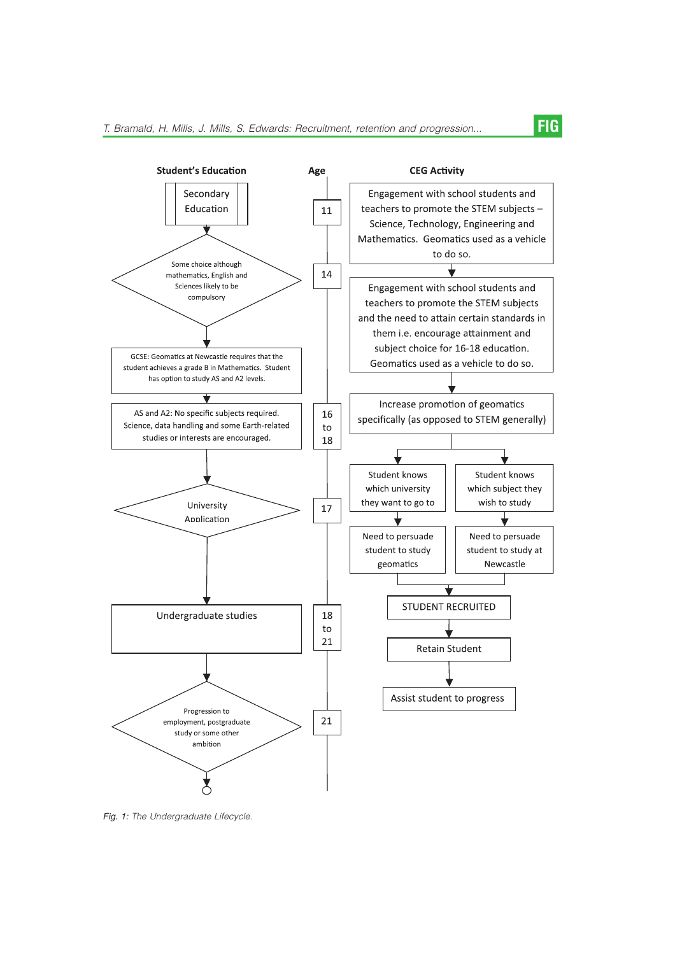

*Fig. 1: The Undergraduate Lifecycle.*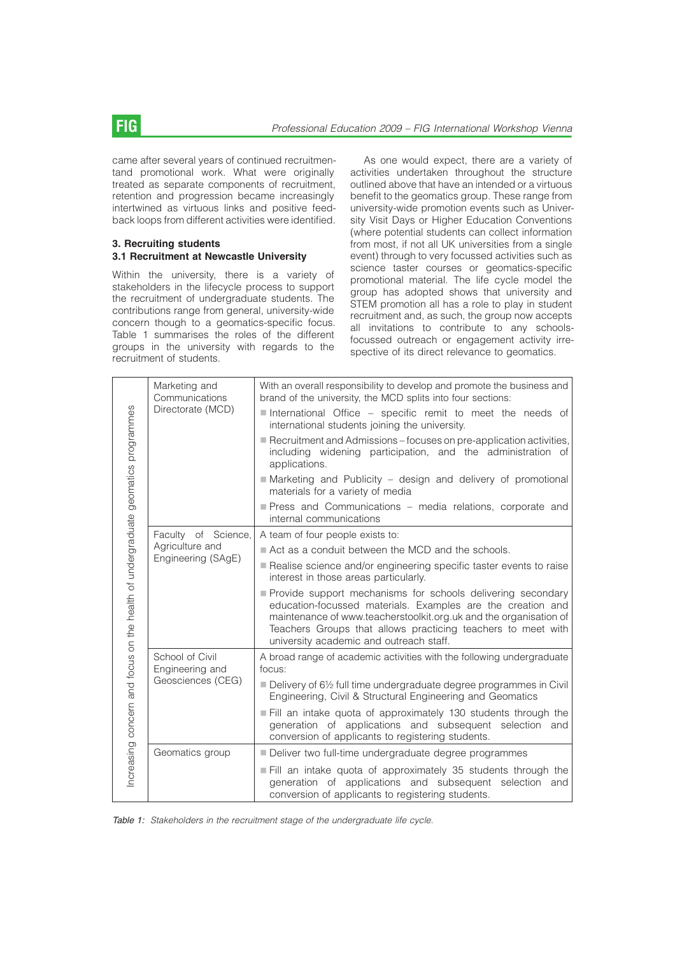came after several years of continued recruitmentand promotional work. What were originally treated as separate components of recruitment, retention and progression became increasingly intertwined as virtuous links and positive feedback loops from different activities were identified.

### 3. Recruiting students 3.1 Recruitment at Newcastle University

Within the university, there is a variety of stakeholders in the lifecycle process to support the recruitment of undergraduate students. The contributions range from general, university-wide concern though to a geomatics-specific focus. Table 1 summarises the roles of the different groups in the university with regards to the recruitment of students.

As one would expect, there are a variety of activities undertaken throughout the structure outlined above that have an intended or a virtuous benefit to the geomatics group. These range from university-wide promotion events such as University Visit Days or Higher Education Conventions (where potential students can collect information from most, if not all UK universities from a single event) through to very focussed activities such as science taster courses or geomatics-specific promotional material. The life cycle model the group has adopted shows that university and STEM promotion all has a role to play in student recruitment and, as such, the group now accepts all invitations to contribute to any schoolsfocussed outreach or engagement activity irrespective of its direct relevance to geomatics.

| Increasing concern and focus on the health of undergraduate geomatics programmes | Marketing and<br>Communications<br>Directorate (MCD)         | With an overall responsibility to develop and promote the business and<br>brand of the university, the MCD splits into four sections:                                                                                                                                                                      |
|----------------------------------------------------------------------------------|--------------------------------------------------------------|------------------------------------------------------------------------------------------------------------------------------------------------------------------------------------------------------------------------------------------------------------------------------------------------------------|
|                                                                                  |                                                              | International Office - specific remit to meet the needs of<br>international students joining the university.                                                                                                                                                                                               |
|                                                                                  |                                                              | Recruitment and Admissions – focuses on pre-application activities,<br>including widening participation, and the administration of<br>applications.                                                                                                                                                        |
|                                                                                  |                                                              | Marketing and Publicity - design and delivery of promotional<br>materials for a variety of media                                                                                                                                                                                                           |
|                                                                                  |                                                              | Press and Communications - media relations, corporate and<br>internal communications                                                                                                                                                                                                                       |
|                                                                                  | Faculty of Science,<br>Agriculture and<br>Engineering (SAgE) | A team of four people exists to:                                                                                                                                                                                                                                                                           |
|                                                                                  |                                                              | Act as a conduit between the MCD and the schools.                                                                                                                                                                                                                                                          |
|                                                                                  |                                                              | Realise science and/or engineering specific taster events to raise<br>interest in those areas particularly.                                                                                                                                                                                                |
|                                                                                  |                                                              | Provide support mechanisms for schools delivering secondary<br>education-focussed materials. Examples are the creation and<br>maintenance of www.teacherstoolkit.org.uk and the organisation of<br>Teachers Groups that allows practicing teachers to meet with<br>university academic and outreach staff. |
|                                                                                  | School of Civil<br>Engineering and<br>Geosciences (CEG)      | A broad range of academic activities with the following undergraduate<br>focus:                                                                                                                                                                                                                            |
|                                                                                  |                                                              | Delivery of 61/2 full time undergraduate degree programmes in Civil<br>Engineering, Civil & Structural Engineering and Geomatics                                                                                                                                                                           |
|                                                                                  |                                                              | Fill an intake quota of approximately 130 students through the<br>generation of applications and subsequent selection and<br>conversion of applicants to registering students.                                                                                                                             |
|                                                                                  | Geomatics group                                              | Deliver two full-time undergraduate degree programmes                                                                                                                                                                                                                                                      |
|                                                                                  |                                                              | Fill an intake quota of approximately 35 students through the<br>generation of applications and subsequent selection and<br>conversion of applicants to registering students.                                                                                                                              |

*Table 1: Stakeholders in the recruitment stage of the undergraduate life cycle.*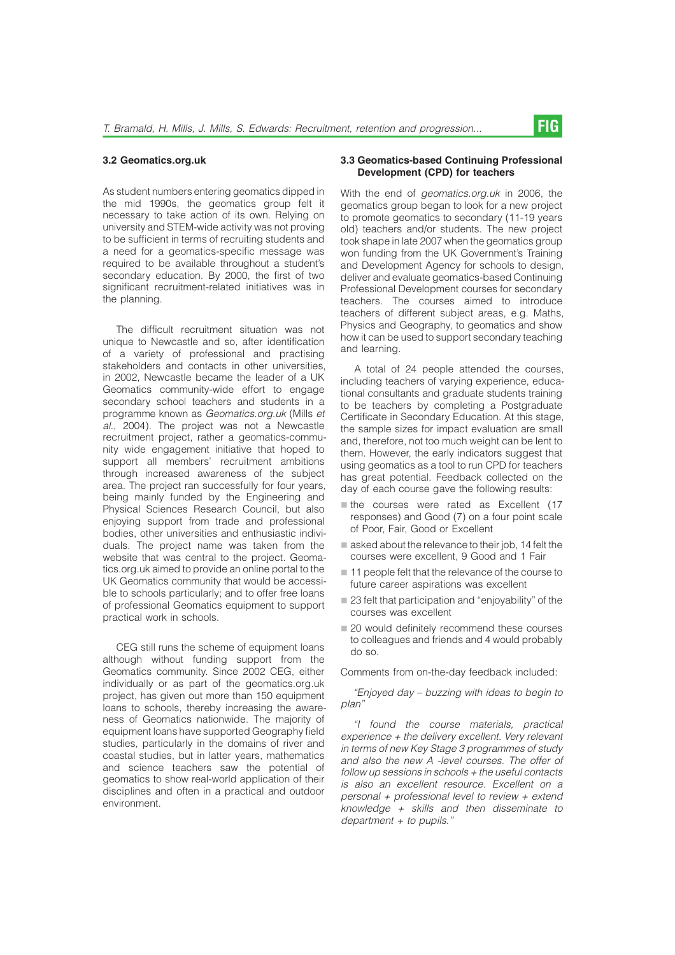#### 3.2 Geomatics.org.uk

As student numbers entering geomatics dipped in the mid 1990s, the geomatics group felt it necessary to take action of its own. Relying on university and STEM-wide activity was not proving to be sufficient in terms of recruiting students and a need for a geomatics-specific message was required to be available throughout a student's secondary education. By 2000, the first of two significant recruitment-related initiatives was in the planning.

The difficult recruitment situation was not unique to Newcastle and so, after identification of a variety of professional and practising stakeholders and contacts in other universities, in 2002, Newcastle became the leader of a UK Geomatics community-wide effort to engage secondary school teachers and students in a programme known as *Geomatics.org.uk* (Mills *et al.*, 2004). The project was not a Newcastle recruitment project, rather a geomatics-community wide engagement initiative that hoped to support all members' recruitment ambitions through increased awareness of the subject area. The project ran successfully for four years, being mainly funded by the Engineering and Physical Sciences Research Council, but also enjoying support from trade and professional bodies, other universities and enthusiastic individuals. The project name was taken from the website that was central to the project. Geomatics.org.uk aimed to provide an online portal to the UK Geomatics community that would be accessible to schools particularly; and to offer free loans of professional Geomatics equipment to support practical work in schools.

CEG still runs the scheme of equipment loans although without funding support from the Geomatics community. Since 2002 CEG, either individually or as part of the geomatics.org.uk project, has given out more than 150 equipment loans to schools, thereby increasing the awareness of Geomatics nationwide. The majority of equipment loans have supported Geography field studies, particularly in the domains of river and coastal studies, but in latter years, mathematics and science teachers saw the potential of geomatics to show real-world application of their disciplines and often in a practical and outdoor environment.

#### 3.3 Geomatics-based Continuing Professional Development (CPD) for teachers

With the end of *geomatics.org.uk* in 2006, the geomatics group began to look for a new project to promote geomatics to secondary (11-19 years old) teachers and/or students. The new project took shape in late 2007 when the geomatics group won funding from the UK Government's Training and Development Agency for schools to design, deliver and evaluate geomatics-based Continuing Professional Development courses for secondary teachers. The courses aimed to introduce teachers of different subject areas, e.g. Maths, Physics and Geography, to geomatics and show how it can be used to support secondary teaching and learning.

A total of 24 people attended the courses, including teachers of varying experience, educational consultants and graduate students training to be teachers by completing a Postgraduate Certificate in Secondary Education. At this stage, the sample sizes for impact evaluation are small and, therefore, not too much weight can be lent to them. However, the early indicators suggest that using geomatics as a tool to run CPD for teachers has great potential. Feedback collected on the day of each course gave the following results:

- $\blacksquare$  the courses were rated as Excellent (17 responses) and Good (7) on a four point scale of Poor, Fair, Good or Excellent
- $\blacksquare$  asked about the relevance to their job, 14 felt the courses were excellent, 9 Good and 1 Fair
- $\blacksquare$  11 people felt that the relevance of the course to future career aspirations was excellent
- 23 felt that participation and "enjoyability" of the courses was excellent
- 20 would definitely recommend these courses to colleagues and friends and 4 would probably do so.

Comments from on-the-day feedback included:

*"Enjoyed day – buzzing with ideas to begin to plan''*

*"I found the course materials, practical experience + the delivery excellent. Very relevant in terms of new Key Stage 3 programmes of study and also the new A -level courses. The offer of follow up sessions in schools + the useful contacts is also an excellent resource. Excellent on a personal + professional level to review + extend knowledge + skills and then disseminate to department + to pupils.''*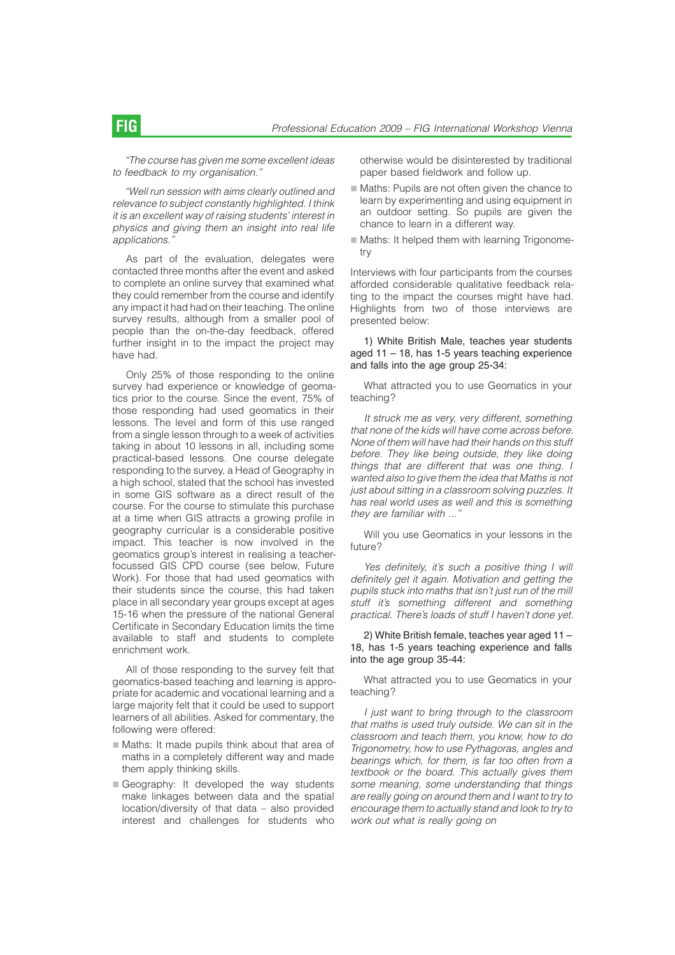*"The course has given me some excellent ideas to feedback to my organisation.''*

*"Well run session with aims clearly outlined and relevance to subject constantly highlighted. I think it is an excellent way of raising students' interest in physics and giving them an insight into real life applications.''*

As part of the evaluation, delegates were contacted three months after the event and asked to complete an online survey that examined what they could remember from the course and identify any impact it had had on their teaching. The online survey results, although from a smaller pool of people than the on-the-day feedback, offered further insight in to the impact the project may have had.

Only 25% of those responding to the online survey had experience or knowledge of geomatics prior to the course. Since the event, 75% of those responding had used geomatics in their lessons. The level and form of this use ranged from a single lesson through to a week of activities taking in about 10 lessons in all, including some practical-based lessons. One course delegate responding to the survey, a Head of Geography in a high school, stated that the school has invested in some GIS software as a direct result of the course. For the course to stimulate this purchase at a time when GIS attracts a growing profile in geography curricular is a considerable positive impact. This teacher is now involved in the geomatics group's interest in realising a teacherfocussed GIS CPD course (see below, Future Work). For those that had used geomatics with their students since the course, this had taken place in all secondary year groups except at ages 15-16 when the pressure of the national General Certificate in Secondary Education limits the time available to staff and students to complete enrichment work.

All of those responding to the survey felt that geomatics-based teaching and learning is appropriate for academic and vocational learning and a large majority felt that it could be used to support learners of all abilities. Asked for commentary, the following were offered:

- $\blacksquare$  Maths: It made pupils think about that area of maths in a completely different way and made them apply thinking skills.
- Geography: It developed the way students make linkages between data and the spatial location/diversity of that data – also provided interest and challenges for students who

otherwise would be disinterested by traditional paper based fieldwork and follow up.

- Maths: Pupils are not often given the chance to learn by experimenting and using equipment in an outdoor setting. So pupils are given the chance to learn in a different way.
- $\blacksquare$  Maths: It helped them with learning Trigonometry

Interviews with four participants from the courses afforded considerable qualitative feedback relating to the impact the courses might have had. Highlights from two of those interviews are presented below:

1) White British Male, teaches year students aged 11 – 18, has 1-5 years teaching experience and falls into the age group 25-34:

What attracted you to use Geomatics in your teaching?

*It struck me as very, very different, something that none of the kids will have come across before. None of them will have had their hands on this stuff before. They like being outside, they like doing things that are different that was one thing. I wanted also to give them the idea that Maths is not just about sitting in a classroom solving puzzles. It has real world uses as well and this is something they are familiar with ...''*

Will you use Geomatics in your lessons in the future?

*Yes definitely, it's such a positive thing I will definitely get it again. Motivation and getting the pupils stuck into maths that isn't just run of the mill stuff it's something different and something practical. There's loads of stuff I haven't done yet.*

#### 2) White British female, teaches year aged 11 – 18, has 1-5 years teaching experience and falls into the age group 35-44:

What attracted you to use Geomatics in your teaching?

*I just want to bring through to the classroom that maths is used truly outside. We can sit in the classroom and teach them, you know, how to do Trigonometry, how to use Pythagoras, angles and bearings which, for them, is far too often from a textbook or the board. This actually gives them some meaning, some understanding that things are really going on around them and I want to try to encourage them to actually stand and look to try to work out what is really going on*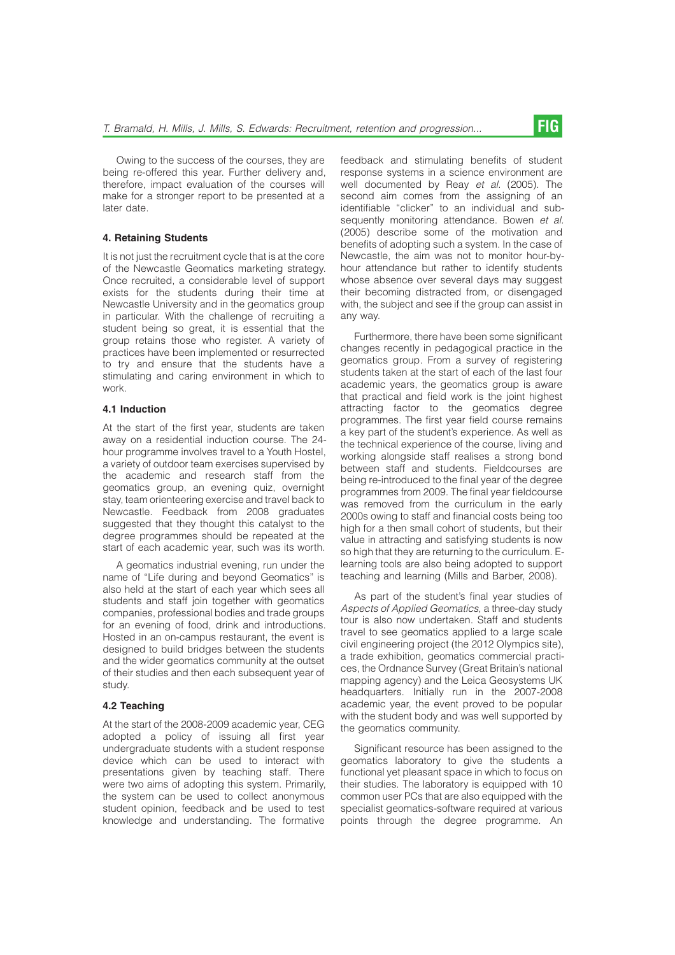Owing to the success of the courses, they are being re-offered this year. Further delivery and, therefore, impact evaluation of the courses will make for a stronger report to be presented at a later date.

#### 4. Retaining Students

It is not just the recruitment cycle that is at the core of the Newcastle Geomatics marketing strategy. Once recruited, a considerable level of support exists for the students during their time at Newcastle University and in the geomatics group in particular. With the challenge of recruiting a student being so great, it is essential that the group retains those who register. A variety of practices have been implemented or resurrected to try and ensure that the students have a stimulating and caring environment in which to work.

### 4.1 Induction

At the start of the first year, students are taken away on a residential induction course. The 24 hour programme involves travel to a Youth Hostel, a variety of outdoor team exercises supervised by the academic and research staff from the geomatics group, an evening quiz, overnight stay, team orienteering exercise and travel back to Newcastle. Feedback from 2008 graduates suggested that they thought this catalyst to the degree programmes should be repeated at the start of each academic year, such was its worth.

A geomatics industrial evening, run under the name of "Life during and beyond Geomatics'' is also held at the start of each year which sees all students and staff join together with geomatics companies, professional bodies and trade groups for an evening of food, drink and introductions. Hosted in an on-campus restaurant, the event is designed to build bridges between the students and the wider geomatics community at the outset of their studies and then each subsequent year of study.

#### 4.2 Teaching

At the start of the 2008-2009 academic year, CEG adopted a policy of issuing all first year undergraduate students with a student response device which can be used to interact with presentations given by teaching staff. There were two aims of adopting this system. Primarily, the system can be used to collect anonymous student opinion, feedback and be used to test knowledge and understanding. The formative

feedback and stimulating benefits of student response systems in a science environment are well documented by Reay *et al.* (2005). The second aim comes from the assigning of an identifiable "clicker'' to an individual and subsequently monitoring attendance. Bowen *et al.* (2005) describe some of the motivation and benefits of adopting such a system. In the case of Newcastle, the aim was not to monitor hour-byhour attendance but rather to identify students whose absence over several days may suggest their becoming distracted from, or disengaged with, the subject and see if the group can assist in any way.

Furthermore, there have been some significant changes recently in pedagogical practice in the geomatics group. From a survey of registering students taken at the start of each of the last four academic years, the geomatics group is aware that practical and field work is the joint highest attracting factor to the geomatics degree programmes. The first year field course remains a key part of the student's experience. As well as the technical experience of the course, living and working alongside staff realises a strong bond between staff and students. Fieldcourses are being re-introduced to the final year of the degree programmes from 2009. The final year fieldcourse was removed from the curriculum in the early 2000s owing to staff and financial costs being too high for a then small cohort of students, but their value in attracting and satisfying students is now so high that they are returning to the curriculum. Elearning tools are also being adopted to support teaching and learning (Mills and Barber, 2008).

As part of the student's final year studies of *Aspects of Applied Geomatics*, a three-day study tour is also now undertaken. Staff and students travel to see geomatics applied to a large scale civil engineering project (the 2012 Olympics site), a trade exhibition, geomatics commercial practices, the Ordnance Survey (Great Britain's national mapping agency) and the Leica Geosystems UK headquarters. Initially run in the 2007-2008 academic year, the event proved to be popular with the student body and was well supported by the geomatics community.

Significant resource has been assigned to the geomatics laboratory to give the students a functional yet pleasant space in which to focus on their studies. The laboratory is equipped with 10 common user PCs that are also equipped with the specialist geomatics-software required at various points through the degree programme. An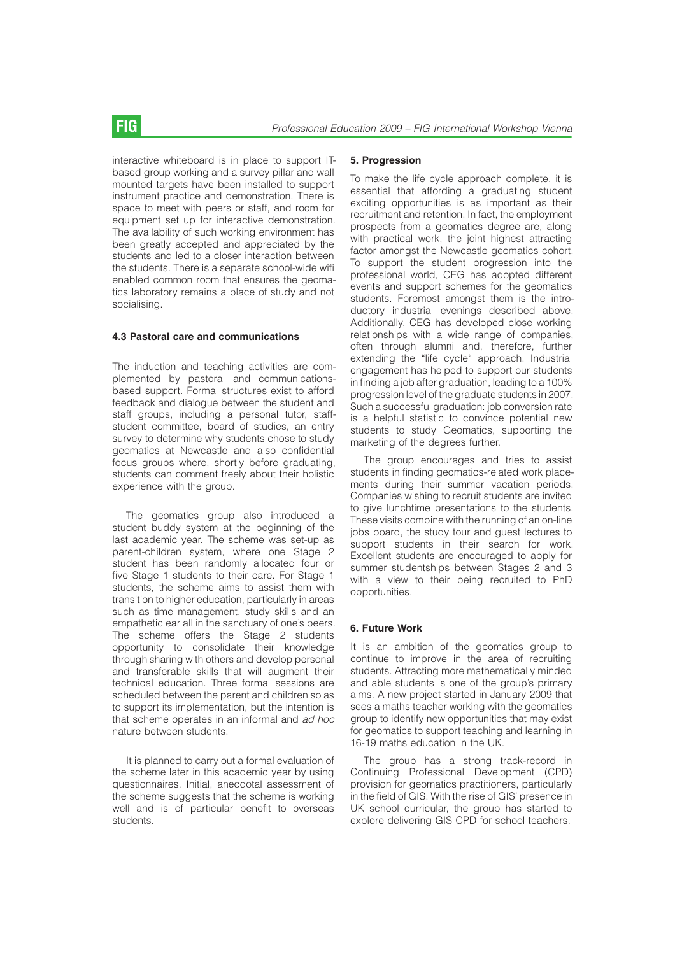interactive whiteboard is in place to support ITbased group working and a survey pillar and wall mounted targets have been installed to support instrument practice and demonstration. There is space to meet with peers or staff, and room for equipment set up for interactive demonstration. The availability of such working environment has been greatly accepted and appreciated by the students and led to a closer interaction between the students. There is a separate school-wide wifi enabled common room that ensures the geomatics laboratory remains a place of study and not socialising.

#### 4.3 Pastoral care and communications

The induction and teaching activities are complemented by pastoral and communicationsbased support. Formal structures exist to afford feedback and dialogue between the student and staff groups, including a personal tutor, staffstudent committee, board of studies, an entry survey to determine why students chose to study geomatics at Newcastle and also confidential focus groups where, shortly before graduating, students can comment freely about their holistic experience with the group.

The geomatics group also introduced a student buddy system at the beginning of the last academic year. The scheme was set-up as parent-children system, where one Stage 2 student has been randomly allocated four or five Stage 1 students to their care. For Stage 1 students, the scheme aims to assist them with transition to higher education, particularly in areas such as time management, study skills and an empathetic ear all in the sanctuary of one's peers. The scheme offers the Stage 2 students opportunity to consolidate their knowledge through sharing with others and develop personal and transferable skills that will augment their technical education. Three formal sessions are scheduled between the parent and children so as to support its implementation, but the intention is that scheme operates in an informal and *ad hoc* nature between students.

It is planned to carry out a formal evaluation of the scheme later in this academic year by using questionnaires. Initial, anecdotal assessment of the scheme suggests that the scheme is working well and is of particular benefit to overseas students.

#### 5. Progression

To make the life cycle approach complete, it is essential that affording a graduating student exciting opportunities is as important as their recruitment and retention. In fact, the employment prospects from a geomatics degree are, along with practical work, the joint highest attracting factor amongst the Newcastle geomatics cohort. To support the student progression into the professional world, CEG has adopted different events and support schemes for the geomatics students. Foremost amongst them is the introductory industrial evenings described above. Additionally, CEG has developed close working relationships with a wide range of companies, often through alumni and, therefore, further extending the "life cycle" approach. Industrial engagement has helped to support our students in finding a job after graduation, leading to a 100% progression level of the graduate students in 2007. Such a successful graduation: job conversion rate is a helpful statistic to convince potential new students to study Geomatics, supporting the marketing of the degrees further.

The group encourages and tries to assist students in finding geomatics-related work placements during their summer vacation periods. Companies wishing to recruit students are invited to give lunchtime presentations to the students. These visits combine with the running of an on-line jobs board, the study tour and guest lectures to support students in their search for work. Excellent students are encouraged to apply for summer studentships between Stages 2 and 3 with a view to their being recruited to PhD opportunities.

#### 6. Future Work

It is an ambition of the geomatics group to continue to improve in the area of recruiting students. Attracting more mathematically minded and able students is one of the group's primary aims. A new project started in January 2009 that sees a maths teacher working with the geomatics group to identify new opportunities that may exist for geomatics to support teaching and learning in 16-19 maths education in the UK.

The group has a strong track-record in Continuing Professional Development (CPD) provision for geomatics practitioners, particularly in the field of GIS. With the rise of GIS' presence in UK school curricular, the group has started to explore delivering GIS CPD for school teachers.